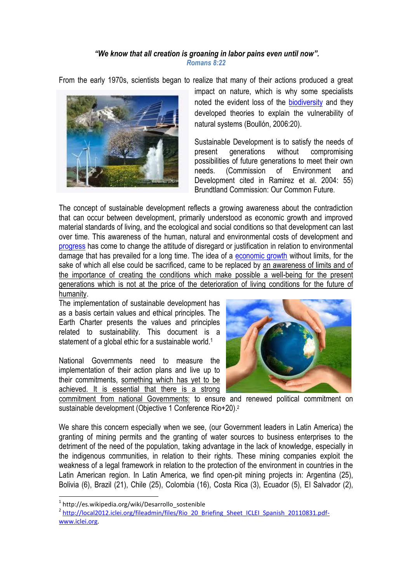## *"We know that all creation is groaning in labor pains even until now". Romans 8:22*

From the early 1970s, scientists began to realize that many of their actions produced a great



impact on nature, which is why some specialists noted the evident loss of the [biodiversity](http://es.wikipedia.org/wiki/Biodiversidad) and they developed theories to explain the vulnerability of natural systems (Boullón, 2006:20).

Sustainable Development is to satisfy the needs of present generations without compromising possibilities of future generations to meet their own needs. (Commission of Environment and Development cited in Ramirez et al. 2004: 55) Brundtland Commission: Our Common Future.

The concept of sustainable development reflects a growing awareness about the contradiction that can occur between development, primarily understood as economic growth and improved material standards of living, and the ecological and social conditions so that development can last over time. This awareness of the human, natural and environmental costs of development and [progress](http://es.wikipedia.org/wiki/Progreso) has come to change the attitude of disregard or justification in relation to environmental damage that has prevailed for a long time. The idea of a [economic growth](http://es.wikipedia.org/wiki/Crecimiento_econ%C3%B3mico) without limits, for the sake of which all else could be sacrificed, came to be replaced by an awareness of limits and of the importance of creating the conditions which make possible a well-being for the present generations which is not at the price of the deterioration of living conditions for the future of humanity.

The implementation of sustainable development has as a basis certain values and ethical principles. The Earth Charter presents the values and principles related to sustainability. This document is a statement of a global ethic for a sustainable world.<sup>1</sup>

National Governments need to measure the implementation of their action plans and live up to their commitments, something which has yet to be achieved. It is essential that there is a strong



commitment from national Governments: to ensure and renewed political commitment on sustainable development (Objective 1 Conference Rio+20).<sup>2</sup>

We share this concern especially when we see, (our Government leaders in Latin America) the granting of mining permits and the granting of water sources to business enterprises to the detriment of the need of the population, taking advantage in the lack of knowledge, especially in the indigenous communities, in relation to their rights. These mining companies exploit the weakness of a legal framework in relation to the protection of the environment in countries in the Latin American region. In Latin America, we find open-pit mining projects in: Argentina (25), Bolivia (6), Brazil (21), Chile (25), Colombia (16), Costa Rica (3), Ecuador (5), El Salvador (2),

1

<sup>1</sup> http://es.wikipedia.org/wiki/Desarrollo\_sostenible

<sup>&</sup>lt;sup>2</sup> [http://local2012.iclei.org/fileadmin/files/Rio\\_20\\_Briefing\\_Sheet\\_ICLEI\\_Spanish\\_20110831.pdf](http://local2012.iclei.org/fileadmin/files/Rio_20_Briefing_Sheet_ICLEI_Spanish_20110831.pdf-)[www.iclei.org.](http://www.iclei.org/)